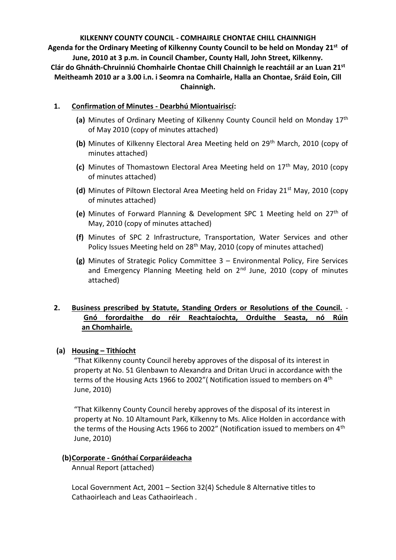**KILKENNY COUNTY COUNCIL - COMHAIRLE CHONTAE CHILL CHAINNIGH Agenda for the Ordinary Meeting of Kilkenny County Council to be held on Monday 21st of June, 2010 at 3 p.m. in Council Chamber, County Hall, John Street, Kilkenny. Clár do Ghnáth-Chruinniú Chomhairle Chontae Chill Chainnigh le reachtáil ar an Luan 21st Meitheamh 2010 ar a 3.00 i.n. i Seomra na Comhairle, Halla an Chontae, Sráid Eoin, Cill Chainnigh.**

# **1. Confirmation of Minutes - Dearbhú Miontuairiscí:**

- **(a)** Minutes of Ordinary Meeting of Kilkenny County Council held on Monday 17th of May 2010 (copy of minutes attached)
- (b) Minutes of Kilkenny Electoral Area Meeting held on 29<sup>th</sup> March, 2010 (copv of minutes attached)
- **(c)** Minutes of Thomastown Electoral Area Meeting held on 17<sup>th</sup> May, 2010 (copy of minutes attached)
- **(d)** Minutes of Piltown Electoral Area Meeting held on Friday 21<sup>st</sup> May, 2010 (copy of minutes attached)
- **(e)** Minutes of Forward Planning & Development SPC 1 Meeting held on 27th of May, 2010 (copy of minutes attached)
- **(f)** Minutes of SPC 2 Infrastructure, Transportation, Water Services and other Policy Issues Meeting held on 28<sup>th</sup> May, 2010 (copy of minutes attached)
- **(g)** Minutes of Strategic Policy Committee 3 Environmental Policy, Fire Services and Emergency Planning Meeting held on  $2<sup>nd</sup>$  June, 2010 (copy of minutes attached)

# **2. Business prescribed by Statute, Standing Orders or Resolutions of the Council.** - **Gnó forordaithe do réir Reachtaíochta, Orduithe Seasta, nó Rúin an Chomhairle.**

# **(a) Housing – Tithíocht**

"That Kilkenny county Council hereby approves of the disposal of its interest in property at No. 51 Glenbawn to Alexandra and Dritan Uruci in accordance with the terms of the Housing Acts 1966 to 2002" (Notification issued to members on 4<sup>th</sup> June, 2010)

"That Kilkenny County Council hereby approves of the disposal of its interest in property at No. 10 Altamount Park, Kilkenny to Ms. Alice Holden in accordance with the terms of the Housing Acts 1966 to 2002" (Notification issued to members on 4<sup>th</sup> June, 2010)

### **(b)Corporate - Gnóthaí Corparáideacha**

Annual Report (attached)

Local Government Act, 2001 – Section 32(4) Schedule 8 Alternative titles to Cathaoirleach and Leas Cathaoirleach .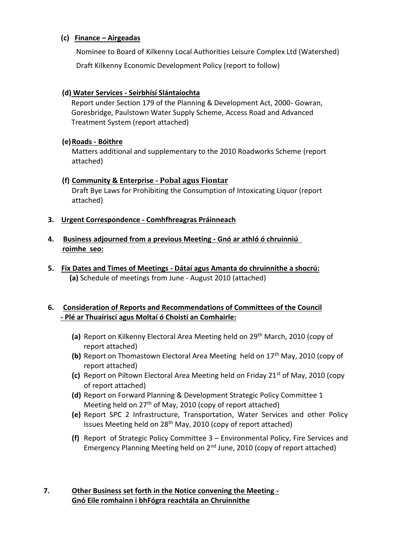# **(c) Finance – Airgeadas**

Nominee to Board of Kilkenny Local Authorities Leisure Complex Ltd (Watershed) Draft Kilkenny Economic Development Policy (report to follow)

# **(d) Water Services - Seirbhísí Slántaíochta**

Report under Section 179 of the Planning & Development Act, 2000- Gowran, Goresbridge, Paulstown Water Supply Scheme, Access Road and Advanced Treatment System (report attached)

# **(e)Roads - Bóithre**

Matters additional and supplementary to the 2010 Roadworks Scheme (report attached)

# **(f) Community & Enterprise - Pobal agus Fiontar**

Draft Bye Laws for Prohibiting the Consumption of Intoxicating Liquor (report attached)

# **3. Urgent Correspondence - Comhfhreagras Práinneach**

# **4. Business adjourned from a previous Meeting - Gnó ar athló ó chruinniú roimhe seo:**

**5. Fix Dates and Times of Meetings - Dátaí agus Amanta do chruinnithe a shocrú: (a)** Schedule of meetings from June - August 2010 (attached)

# **6. Consideration of Reports and Recommendations of Committees of the Council - Plé ar Thuairiscí agus Moltaí ó Choistí an Comhairle:**

- **(a)** Report on Kilkenny Electoral Area Meeting held on 29th March, 2010 (copy of report attached)
- **(b)** Report on Thomastown Electoral Area Meeting held on 17<sup>th</sup> May, 2010 (copy of report attached)
- **(c)** Report on Piltown Electoral Area Meeting held on Friday 21st of May, 2010 (copy of report attached)
- **(d)** Report on Forward Planning & Development Strategic Policy Committee 1 Meeting held on  $27<sup>th</sup>$  of May, 2010 (copy of report attached)
- **(e)** Report SPC 2 Infrastructure, Transportation, Water Services and other Policy Issues Meeting held on 28th May, 2010 (copy of report attached)
- **(f)** Report of Strategic Policy Committee 3 Environmental Policy, Fire Services and Emergency Planning Meeting held on 2nd June, 2010 (copy of report attached)

# **7. Other Business set forth in the Notice convening the Meeting - Gnó Eile romhainn i bhFógra reachtála an Chruinnithe**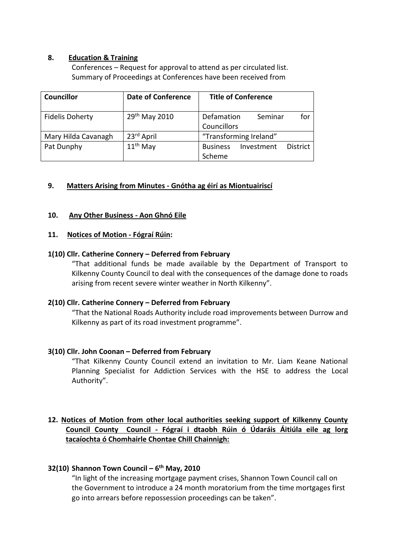## **8. Education & Training**

Conferences – Request for approval to attend as per circulated list. Summary of Proceedings at Conferences have been received from

| <b>Councillor</b>      | <b>Date of Conference</b> | <b>Title of Conference</b>                                 |
|------------------------|---------------------------|------------------------------------------------------------|
| <b>Fidelis Doherty</b> | 29 <sup>th</sup> May 2010 | for<br>Defamation<br>Seminar<br>Councillors                |
| Mary Hilda Cavanagh    | 23rd April                | "Transforming Ireland"                                     |
| Pat Dunphy             | $11th$ May                | <b>District</b><br><b>Business</b><br>Investment<br>Scheme |

# **9. Matters Arising from Minutes - Gnótha ag éirí as Miontuairiscí**

## **10. Any Other Business - Aon Ghnó Eile**

### **11. Notices of Motion - Fógraí Rúin:**

### **1(10) Cllr. Catherine Connery – Deferred from February**

"That additional funds be made available by the Department of Transport to Kilkenny County Council to deal with the consequences of the damage done to roads arising from recent severe winter weather in North Kilkenny".

### **2(10) Cllr. Catherine Connery – Deferred from February**

"That the National Roads Authority include road improvements between Durrow and Kilkenny as part of its road investment programme".

### **3(10) Cllr. John Coonan – Deferred from February**

"That Kilkenny County Council extend an invitation to Mr. Liam Keane National Planning Specialist for Addiction Services with the HSE to address the Local Authority".

# **12. Notices of Motion from other local authorities seeking support of Kilkenny County Council County Council - Fógraí i dtaobh Rúin ó Údaráis Áitiúla eile ag lorg tacaíochta ó Chomhairle Chontae Chill Chainnigh:**

### **32(10) Shannon Town Council – 6 th May, 2010**

"In light of the increasing mortgage payment crises, Shannon Town Council call on the Government to introduce a 24 month moratorium from the time mortgages first go into arrears before repossession proceedings can be taken".